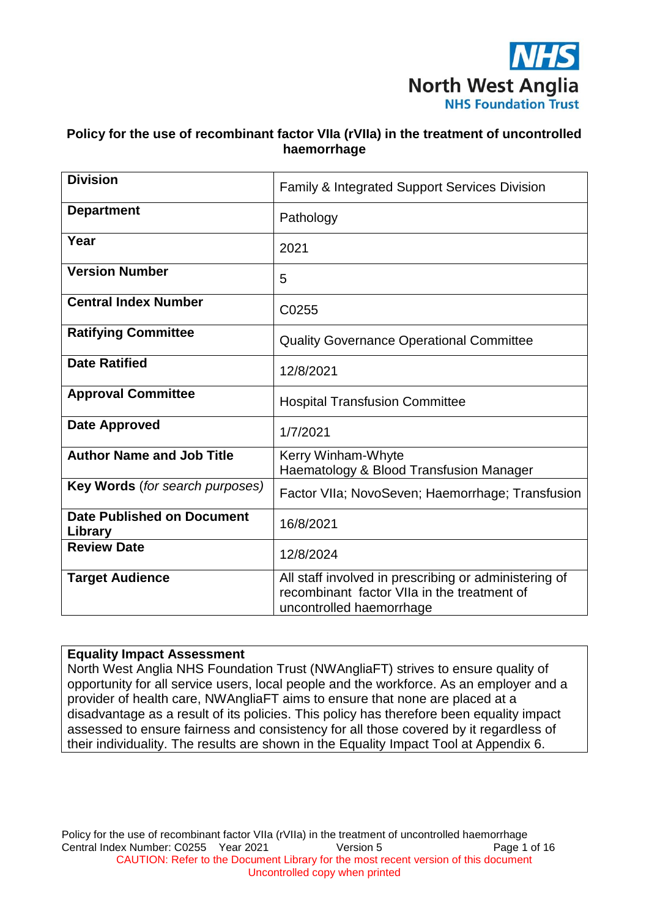

## **Policy for the use of recombinant factor VIIa (rVIIa) in the treatment of uncontrolled haemorrhage**

| <b>Division</b>                              | <b>Family &amp; Integrated Support Services Division</b>                                                                         |
|----------------------------------------------|----------------------------------------------------------------------------------------------------------------------------------|
| <b>Department</b>                            | Pathology                                                                                                                        |
| Year                                         | 2021                                                                                                                             |
| <b>Version Number</b>                        | 5                                                                                                                                |
| <b>Central Index Number</b>                  | C0255                                                                                                                            |
| <b>Ratifying Committee</b>                   | <b>Quality Governance Operational Committee</b>                                                                                  |
| <b>Date Ratified</b>                         | 12/8/2021                                                                                                                        |
| <b>Approval Committee</b>                    | <b>Hospital Transfusion Committee</b>                                                                                            |
| <b>Date Approved</b>                         | 1/7/2021                                                                                                                         |
| <b>Author Name and Job Title</b>             | Kerry Winham-Whyte<br>Haematology & Blood Transfusion Manager                                                                    |
| Key Words (for search purposes)              | Factor VIIa; NovoSeven; Haemorrhage; Transfusion                                                                                 |
| <b>Date Published on Document</b><br>Library | 16/8/2021                                                                                                                        |
| <b>Review Date</b>                           | 12/8/2024                                                                                                                        |
| <b>Target Audience</b>                       | All staff involved in prescribing or administering of<br>recombinant factor VIIa in the treatment of<br>uncontrolled haemorrhage |

#### **Equality Impact Assessment**

North West Anglia NHS Foundation Trust (NWAngliaFT) strives to ensure quality of opportunity for all service users, local people and the workforce. As an employer and a provider of health care, NWAngliaFT aims to ensure that none are placed at a disadvantage as a result of its policies. This policy has therefore been equality impact assessed to ensure fairness and consistency for all those covered by it regardless of their individuality. The results are shown in the Equality Impact Tool at Appendix 6.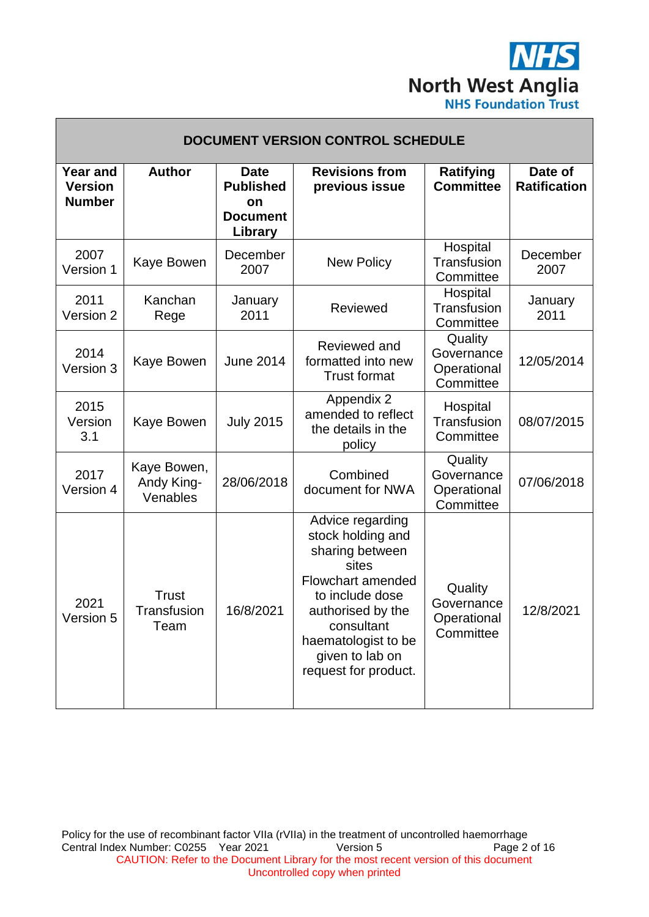

٦

| <b>DOCUMENT VERSION CONTROL SCHEDULE</b>           |                                       |                                                                     |                                                                                                                                                                                                                       |                                                   |                                |  |
|----------------------------------------------------|---------------------------------------|---------------------------------------------------------------------|-----------------------------------------------------------------------------------------------------------------------------------------------------------------------------------------------------------------------|---------------------------------------------------|--------------------------------|--|
| <b>Year and</b><br><b>Version</b><br><b>Number</b> | <b>Author</b>                         | <b>Date</b><br><b>Published</b><br>on<br><b>Document</b><br>Library | <b>Revisions from</b><br>previous issue                                                                                                                                                                               | Ratifying<br><b>Committee</b>                     | Date of<br><b>Ratification</b> |  |
| 2007<br>Version 1                                  | Kaye Bowen                            | December<br>2007                                                    | <b>New Policy</b>                                                                                                                                                                                                     | Hospital<br>Transfusion<br>Committee              | December<br>2007               |  |
| 2011<br>Version 2                                  | Kanchan<br>Rege                       | January<br>2011                                                     | Reviewed                                                                                                                                                                                                              | Hospital<br>Transfusion<br>Committee              | January<br>2011                |  |
| 2014<br>Version 3                                  | Kaye Bowen                            | <b>June 2014</b>                                                    | Reviewed and<br>formatted into new<br><b>Trust format</b>                                                                                                                                                             | Quality<br>Governance<br>Operational<br>Committee | 12/05/2014                     |  |
| 2015<br>Version<br>3.1                             | Kaye Bowen                            | <b>July 2015</b>                                                    | Appendix 2<br>amended to reflect<br>the details in the<br>policy                                                                                                                                                      | Hospital<br>Transfusion<br>Committee              | 08/07/2015                     |  |
| 2017<br>Version 4                                  | Kaye Bowen,<br>Andy King-<br>Venables | 28/06/2018                                                          | Combined<br>document for NWA                                                                                                                                                                                          | Quality<br>Governance<br>Operational<br>Committee | 07/06/2018                     |  |
| 2021<br>Version 5                                  | <b>Trust</b><br>Transfusion<br>Team   | 16/8/2021                                                           | Advice regarding<br>stock holding and<br>sharing between<br>sites<br><b>Flowchart amended</b><br>to include dose<br>authorised by the<br>consultant<br>haematologist to be<br>given to lab on<br>request for product. | Quality<br>Governance<br>Operational<br>Committee | 12/8/2021                      |  |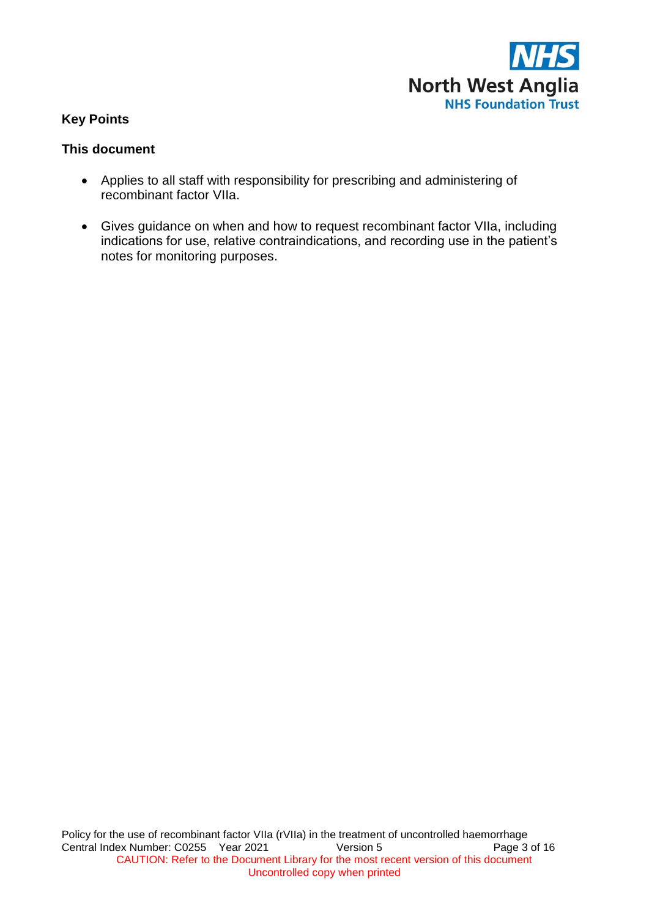

## **Key Points**

## **This document**

- Applies to all staff with responsibility for prescribing and administering of recombinant factor VIIa.
- Gives guidance on when and how to request recombinant factor VIIa, including indications for use, relative contraindications, and recording use in the patient's notes for monitoring purposes.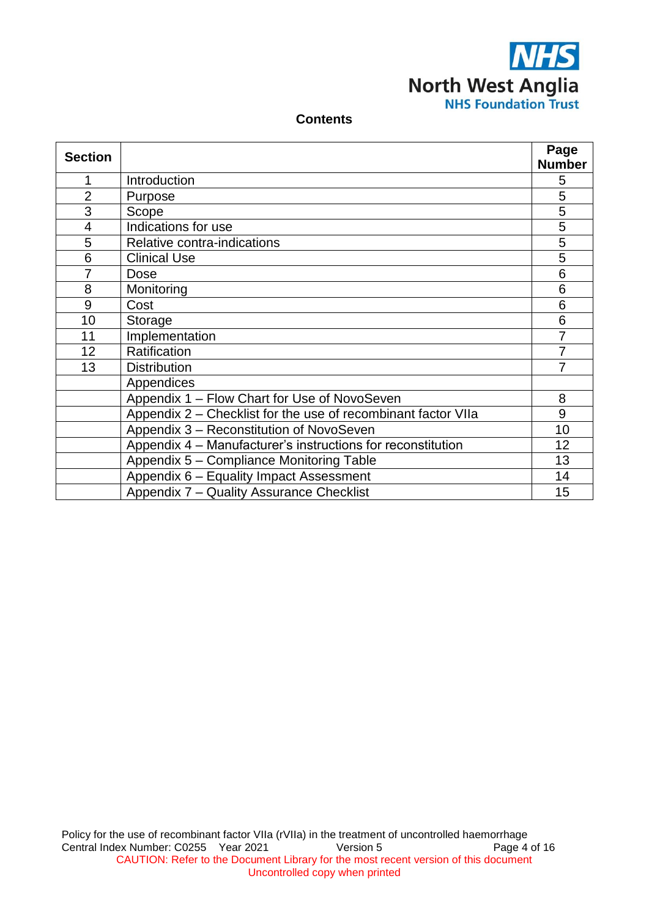

#### **Contents**

| <b>Section</b> |                                                               | Page           |
|----------------|---------------------------------------------------------------|----------------|
|                |                                                               | <b>Number</b>  |
| 1              | Introduction                                                  | 5              |
| $\overline{2}$ | Purpose                                                       | 5              |
| 3              | Scope                                                         | 5              |
| 4              | Indications for use                                           | 5              |
| 5              | Relative contra-indications                                   | 5              |
| 6              | <b>Clinical Use</b>                                           | 5              |
| $\overline{7}$ | <b>Dose</b>                                                   | 6              |
| 8              | Monitoring                                                    | 6              |
| 9              | Cost                                                          | 6              |
| 10             | Storage                                                       | 6              |
| 11             | Implementation                                                | $\overline{7}$ |
| 12             | Ratification                                                  | 7              |
| 13             | <b>Distribution</b>                                           | 7              |
|                | Appendices                                                    |                |
|                | Appendix 1 - Flow Chart for Use of NovoSeven                  | 8              |
|                | Appendix 2 – Checklist for the use of recombinant factor VIIa | 9              |
|                | Appendix 3 - Reconstitution of NovoSeven                      | 10             |
|                | Appendix 4 – Manufacturer's instructions for reconstitution   | 12             |
|                | Appendix 5 - Compliance Monitoring Table                      | 13             |
|                | Appendix 6 - Equality Impact Assessment                       | 14             |
|                | Appendix 7 - Quality Assurance Checklist                      | 15             |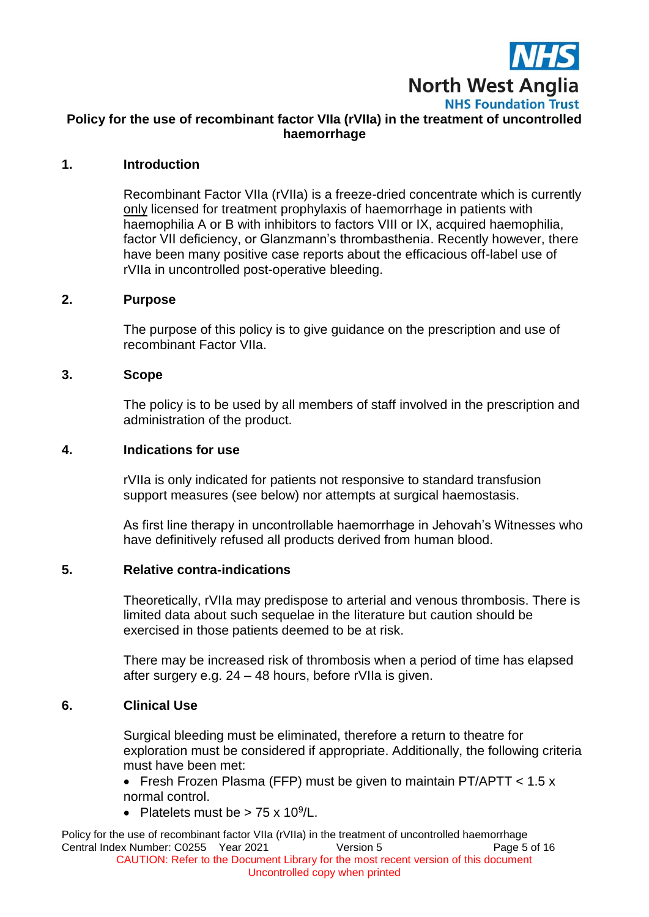

# **Policy for the use of recombinant factor VIIa (rVIIa) in the treatment of uncontrolled haemorrhage**

#### **1. Introduction**

Recombinant Factor VIIa (rVIIa) is a freeze-dried concentrate which is currently only licensed for treatment prophylaxis of haemorrhage in patients with haemophilia A or B with inhibitors to factors VIII or IX, acquired haemophilia, factor VII deficiency, or Glanzmann's thrombasthenia. Recently however, there have been many positive case reports about the efficacious off-label use of rVIIa in uncontrolled post-operative bleeding.

#### **2. Purpose**

The purpose of this policy is to give guidance on the prescription and use of recombinant Factor VIIa.

#### **3. Scope**

The policy is to be used by all members of staff involved in the prescription and administration of the product.

#### **4. Indications for use**

rVIIa is only indicated for patients not responsive to standard transfusion support measures (see below) nor attempts at surgical haemostasis.

As first line therapy in uncontrollable haemorrhage in Jehovah's Witnesses who have definitively refused all products derived from human blood.

#### **5. Relative contra-indications**

Theoretically, rVIIa may predispose to arterial and venous thrombosis. There is limited data about such sequelae in the literature but caution should be exercised in those patients deemed to be at risk.

There may be increased risk of thrombosis when a period of time has elapsed after surgery e.g. 24 – 48 hours, before rVIIa is given.

## **6. Clinical Use**

Surgical bleeding must be eliminated, therefore a return to theatre for exploration must be considered if appropriate. Additionally, the following criteria must have been met:

 Fresh Frozen Plasma (FFP) must be given to maintain PT/APTT < 1.5 x normal control.

• Platelets must be >  $75 \times 10^9$ /L.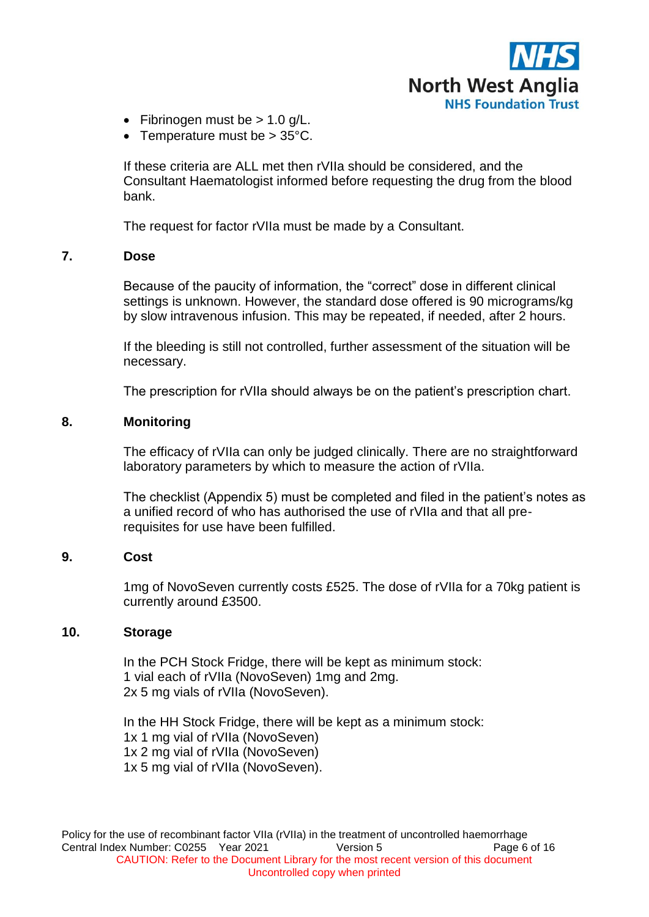

- Fibrinogen must be  $> 1.0$  g/L.
- Temperature must be  $> 35^{\circ}$ C.

If these criteria are ALL met then rVIIa should be considered, and the Consultant Haematologist informed before requesting the drug from the blood bank.

The request for factor rVIIa must be made by a Consultant.

#### **7. Dose**

Because of the paucity of information, the "correct" dose in different clinical settings is unknown. However, the standard dose offered is 90 micrograms/kg by slow intravenous infusion. This may be repeated, if needed, after 2 hours.

If the bleeding is still not controlled, further assessment of the situation will be necessary.

The prescription for rVIIa should always be on the patient's prescription chart.

## **8. Monitoring**

The efficacy of rVIIa can only be judged clinically. There are no straightforward laboratory parameters by which to measure the action of rVIIa.

The checklist (Appendix 5) must be completed and filed in the patient's notes as a unified record of who has authorised the use of rVIIa and that all prerequisites for use have been fulfilled.

## **9. Cost**

1mg of NovoSeven currently costs £525. The dose of rVIIa for a 70kg patient is currently around £3500.

#### **10. Storage**

In the PCH Stock Fridge, there will be kept as minimum stock: 1 vial each of rVIIa (NovoSeven) 1mg and 2mg. 2x 5 mg vials of rVIIa (NovoSeven).

In the HH Stock Fridge, there will be kept as a minimum stock: 1x 1 mg vial of rVIIa (NovoSeven) 1x 2 mg vial of rVIIa (NovoSeven) 1x 5 mg vial of rVIIa (NovoSeven).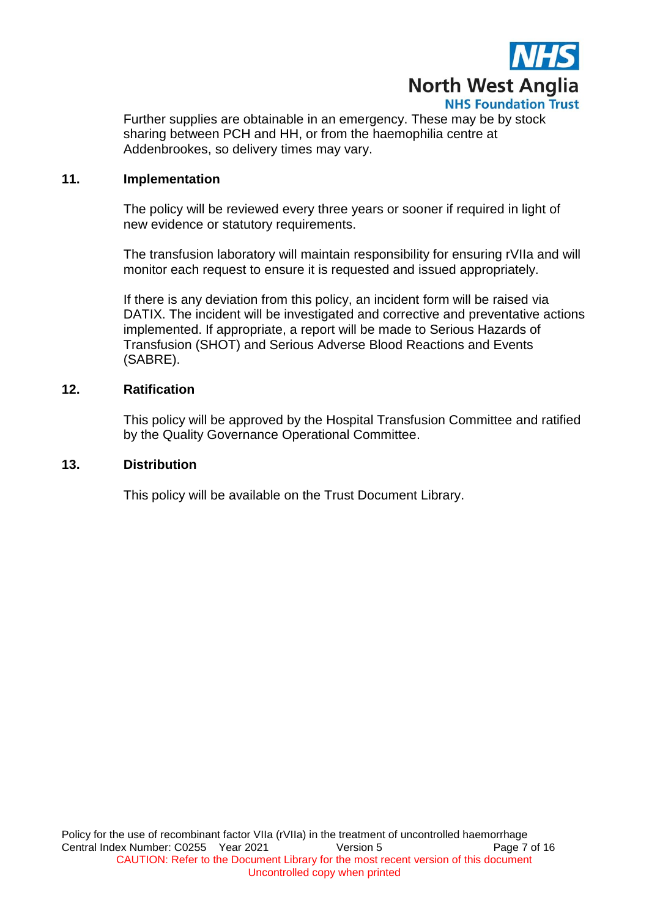

Further supplies are obtainable in an emergency. These may be by stock sharing between PCH and HH, or from the haemophilia centre at Addenbrookes, so delivery times may vary.

#### **11. Implementation**

The policy will be reviewed every three years or sooner if required in light of new evidence or statutory requirements.

The transfusion laboratory will maintain responsibility for ensuring rVIIa and will monitor each request to ensure it is requested and issued appropriately.

If there is any deviation from this policy, an incident form will be raised via DATIX. The incident will be investigated and corrective and preventative actions implemented. If appropriate, a report will be made to Serious Hazards of Transfusion (SHOT) and Serious Adverse Blood Reactions and Events (SABRE).

#### **12. Ratification**

This policy will be approved by the Hospital Transfusion Committee and ratified by the Quality Governance Operational Committee.

#### **13. Distribution**

This policy will be available on the Trust Document Library.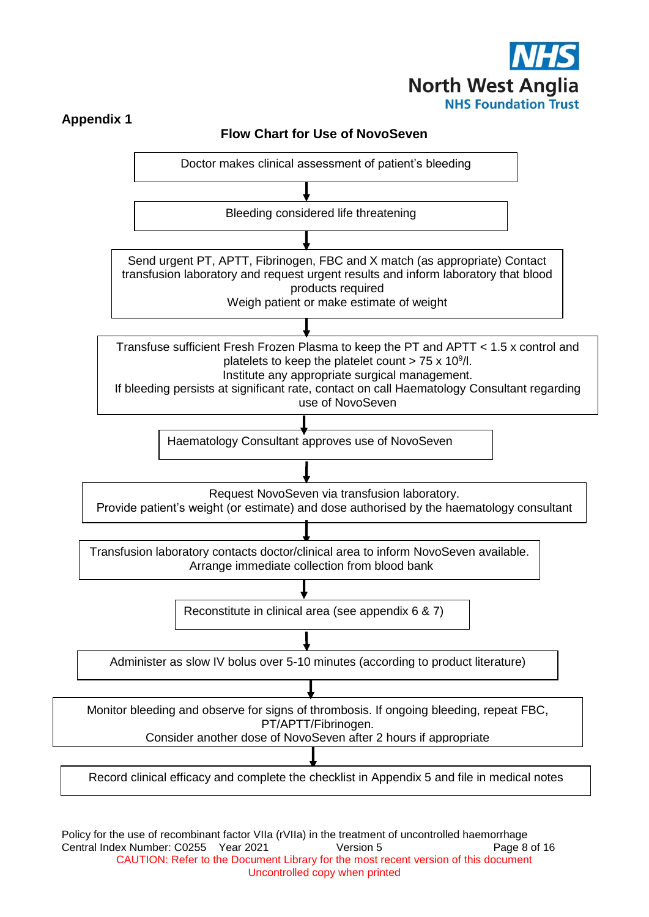



Policy for the use of recombinant factor VIIa (rVIIa) in the treatment of uncontrolled haemorrhage Central Index Number: C0255 Year 2021 Version 5 Page 8 of 16 CAUTION: Refer to the Document Library for the most recent version of this document Uncontrolled copy when printed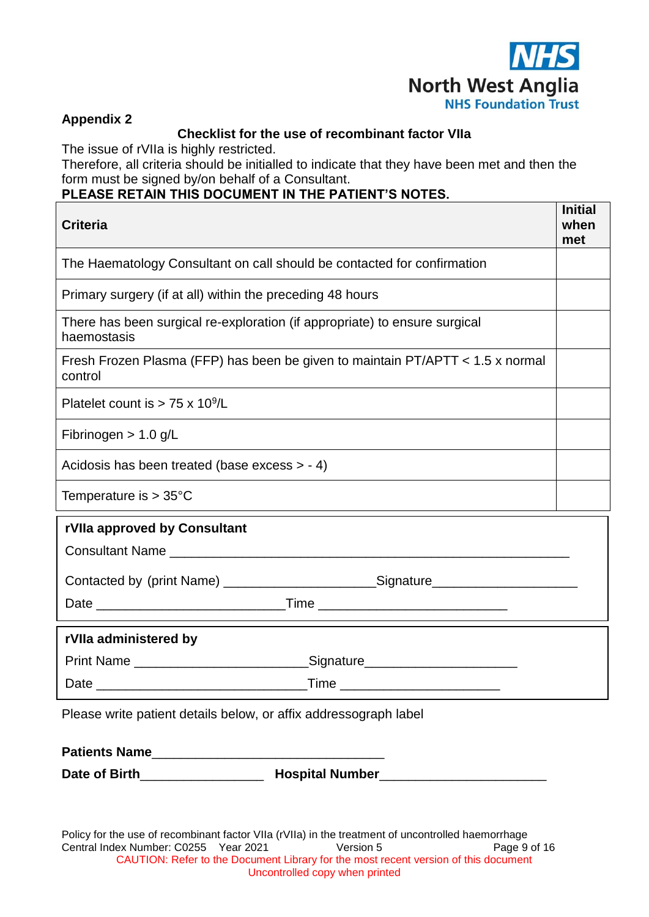

÷

## **Appendix 2**

## **Checklist for the use of recombinant factor VIIa**

The issue of rVIIa is highly restricted.

Therefore, all criteria should be initialled to indicate that they have been met and then the form must be signed by/on behalf of a Consultant.

## **PLEASE RETAIN THIS DOCUMENT IN THE PATIENT'S NOTES.**

| <b>Criteria</b>                                                                                                  | <b>Initial</b><br>when<br>met |  |
|------------------------------------------------------------------------------------------------------------------|-------------------------------|--|
| The Haematology Consultant on call should be contacted for confirmation                                          |                               |  |
| Primary surgery (if at all) within the preceding 48 hours                                                        |                               |  |
| There has been surgical re-exploration (if appropriate) to ensure surgical<br>haemostasis                        |                               |  |
| Fresh Frozen Plasma (FFP) has been be given to maintain PT/APTT < 1.5 x normal<br>control                        |                               |  |
| Platelet count is $> 75 \times 10^9$ /L                                                                          |                               |  |
| Fibrinogen $> 1.0$ g/L                                                                                           |                               |  |
| Acidosis has been treated (base excess $> -4$ )                                                                  |                               |  |
| Temperature is $> 35^{\circ}$ C                                                                                  |                               |  |
| rVIIa approved by Consultant<br>Contacted by (print Name) __________________________Signature___________________ |                               |  |
|                                                                                                                  |                               |  |
| rVIIa administered by                                                                                            |                               |  |
| Print Name _________________________________Signature___________________________                                 |                               |  |
|                                                                                                                  |                               |  |

Please write patient details below, or affix addressograph label

**Patients Name**\_\_\_\_\_\_\_\_\_\_\_\_\_\_\_\_\_\_\_\_\_\_\_\_\_\_\_\_\_\_\_\_

**Date of Birth**\_\_\_\_\_\_\_\_\_\_\_\_\_\_\_\_\_ **Hospital Number**\_\_\_\_\_\_\_\_\_\_\_\_\_\_\_\_\_\_\_\_\_\_\_

Policy for the use of recombinant factor VIIa (rVIIa) in the treatment of uncontrolled haemorrhage Central Index Number: C0255 Year 2021 Version 5 Page 9 of 16 CAUTION: Refer to the Document Library for the most recent version of this document Uncontrolled copy when printed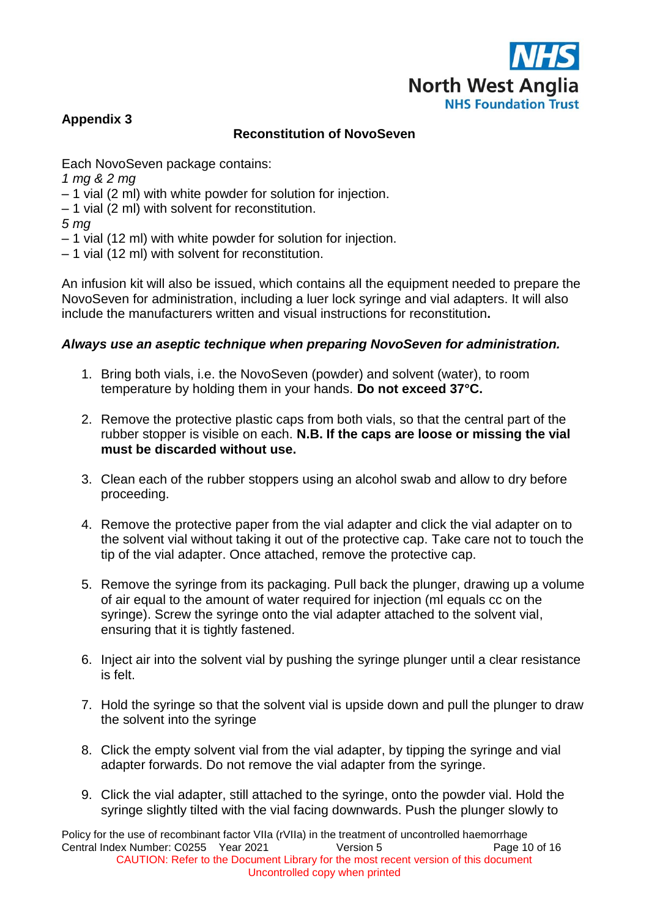

# **Appendix 3**

# **Reconstitution of NovoSeven**

Each NovoSeven package contains:

- *1 mg & 2 mg*
- 1 vial (2 ml) with white powder for solution for injection.
- 1 vial (2 ml) with solvent for reconstitution.

*5 mg* 

- 1 vial (12 ml) with white powder for solution for injection.
- 1 vial (12 ml) with solvent for reconstitution.

An infusion kit will also be issued, which contains all the equipment needed to prepare the NovoSeven for administration, including a luer lock syringe and vial adapters. It will also include the manufacturers written and visual instructions for reconstitution**.** 

## *Always use an aseptic technique when preparing NovoSeven for administration.*

- 1. Bring both vials, i.e. the NovoSeven (powder) and solvent (water), to room temperature by holding them in your hands. **Do not exceed 37°C.**
- 2. Remove the protective plastic caps from both vials, so that the central part of the rubber stopper is visible on each. **N.B. If the caps are loose or missing the vial must be discarded without use.**
- 3. Clean each of the rubber stoppers using an alcohol swab and allow to dry before proceeding.
- 4. Remove the protective paper from the vial adapter and click the vial adapter on to the solvent vial without taking it out of the protective cap. Take care not to touch the tip of the vial adapter. Once attached, remove the protective cap.
- 5. Remove the syringe from its packaging. Pull back the plunger, drawing up a volume of air equal to the amount of water required for injection (ml equals cc on the syringe). Screw the syringe onto the vial adapter attached to the solvent vial, ensuring that it is tightly fastened.
- 6. Inject air into the solvent vial by pushing the syringe plunger until a clear resistance is felt.
- 7. Hold the syringe so that the solvent vial is upside down and pull the plunger to draw the solvent into the syringe
- 8. Click the empty solvent vial from the vial adapter, by tipping the syringe and vial adapter forwards. Do not remove the vial adapter from the syringe.
- 9. Click the vial adapter, still attached to the syringe, onto the powder vial. Hold the syringe slightly tilted with the vial facing downwards. Push the plunger slowly to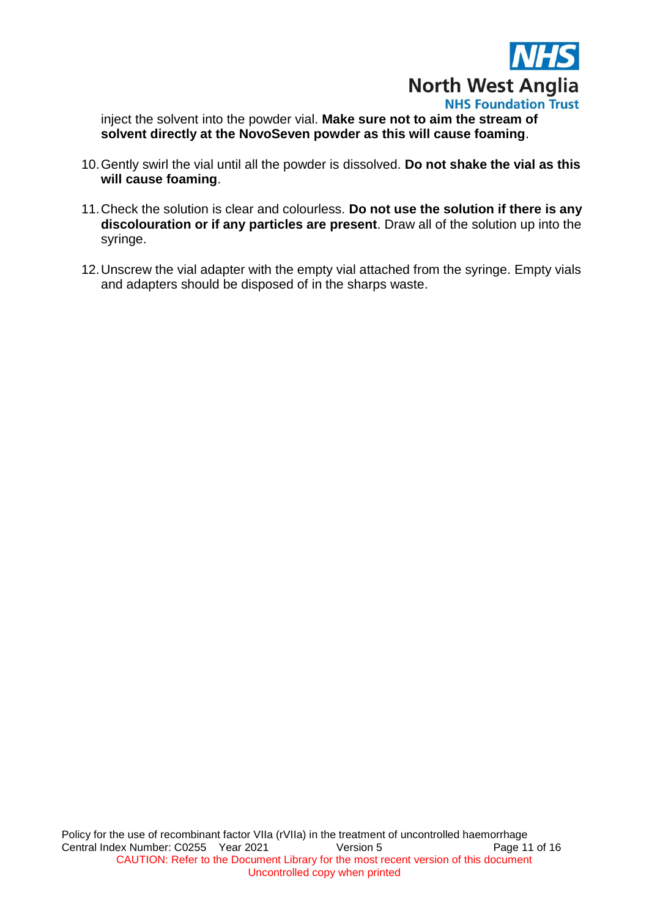

inject the solvent into the powder vial. **Make sure not to aim the stream of solvent directly at the NovoSeven powder as this will cause foaming**.

- 10.Gently swirl the vial until all the powder is dissolved. **Do not shake the vial as this will cause foaming**.
- 11.Check the solution is clear and colourless. **Do not use the solution if there is any discolouration or if any particles are present**. Draw all of the solution up into the syringe.
- 12.Unscrew the vial adapter with the empty vial attached from the syringe. Empty vials and adapters should be disposed of in the sharps waste.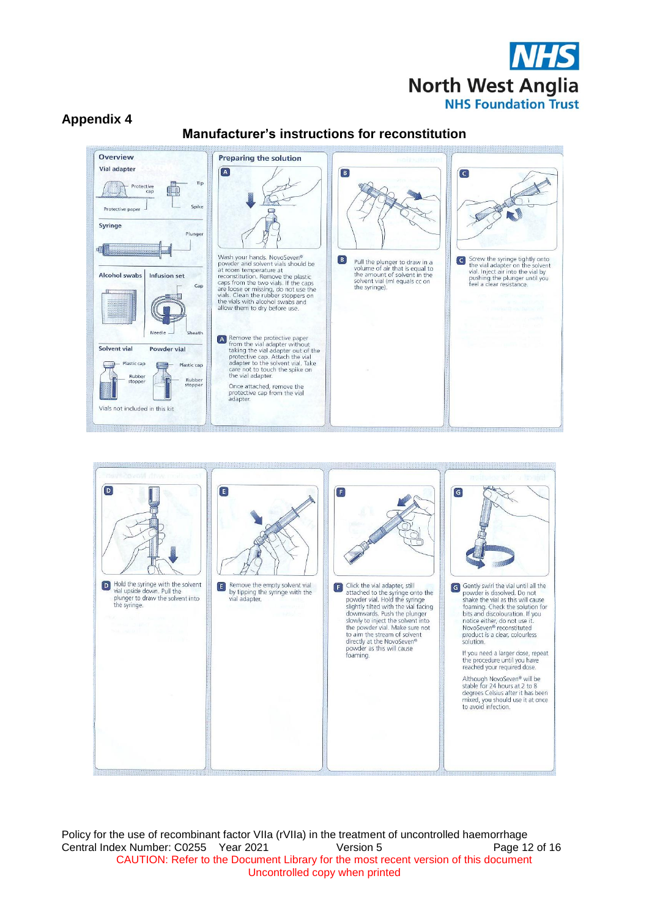

## **Appendix 4**

## **Manufacturer's instructions for reconstitution**



the store was the stream of solvent<br>directly at the NovoSeven®<br>powder as this will cause<br>foaming.

Gently swirf the vial until all the<br>powder is dissolved. Do not<br>shake the vial as this will cause<br>foaming. Check the solution for<br>bits and dissolvariation. If you<br>notice either, do not use it.<br>NovoSeven® reconstituted product is a clear, colourless<br>solution.

If you need a larger dose, repeat<br>the procedure until you have<br>reached your required dose.

Although NovoSeven® will be<br>stable for 24 hours at 2 to 8<br>degrees Celsius after it has been<br>mixed, you should use it at once<br>to avoid infection.

Policy for the use of recombinant factor VIIa (rVIIa) in the treatment of uncontrolled haemorrhage Central Index Number: C0255 Year 2021 Version 5 Page 12 of 16 CAUTION: Refer to the Document Library for the most recent version of this document Uncontrolled copy when printed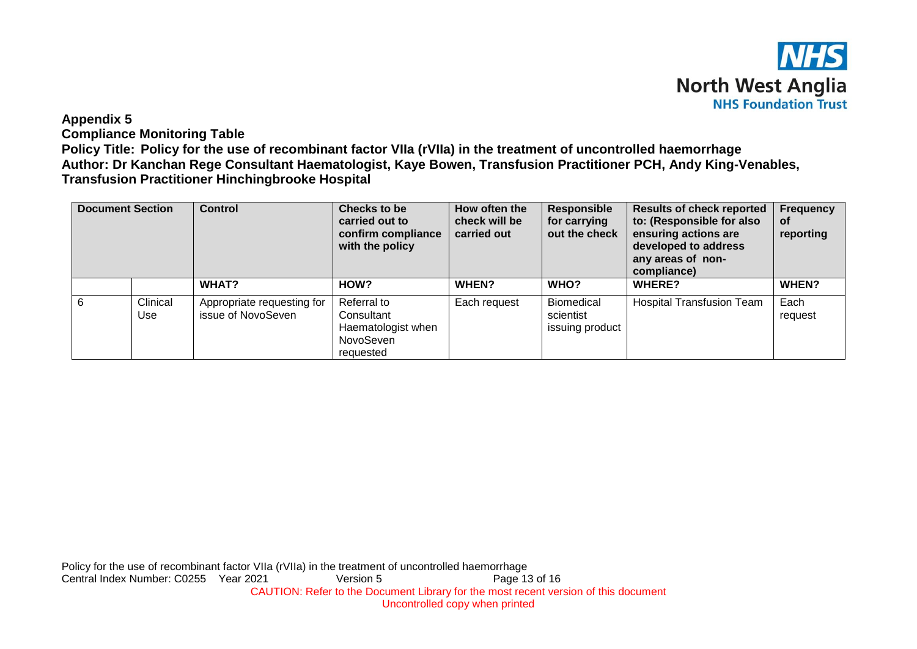

#### **Appendix 5**

**Compliance Monitoring Table**

**Policy Title: Policy for the use of recombinant factor VIIa (rVIIa) in the treatment of uncontrolled haemorrhage Author: Dr Kanchan Rege Consultant Haematologist, Kaye Bowen, Transfusion Practitioner PCH, Andy King-Venables, Transfusion Practitioner Hinchingbrooke Hospital**

| <b>Document Section</b> |                 | <b>Control</b>                                   | <b>Checks to be</b><br>carried out to<br>confirm compliance<br>with the policy | How often the<br>check will be<br>carried out | <b>Responsible</b><br>for carrying<br>out the check | <b>Results of check reported</b><br>to: (Responsible for also<br>ensuring actions are<br>developed to address<br>any areas of non-<br>compliance) | <b>Frequency</b><br>οf<br>reporting |
|-------------------------|-----------------|--------------------------------------------------|--------------------------------------------------------------------------------|-----------------------------------------------|-----------------------------------------------------|---------------------------------------------------------------------------------------------------------------------------------------------------|-------------------------------------|
|                         |                 | WHAT?                                            | HOW?                                                                           | WHEN?                                         | WHO?                                                | <b>WHERE?</b>                                                                                                                                     | WHEN?                               |
| 6                       | Clinical<br>Use | Appropriate requesting for<br>issue of NovoSeven | Referral to<br>Consultant<br>Haematologist when<br>NovoSeven<br>requested      | Each request                                  | <b>Biomedical</b><br>scientist<br>issuing product   | <b>Hospital Transfusion Team</b>                                                                                                                  | Each<br>request                     |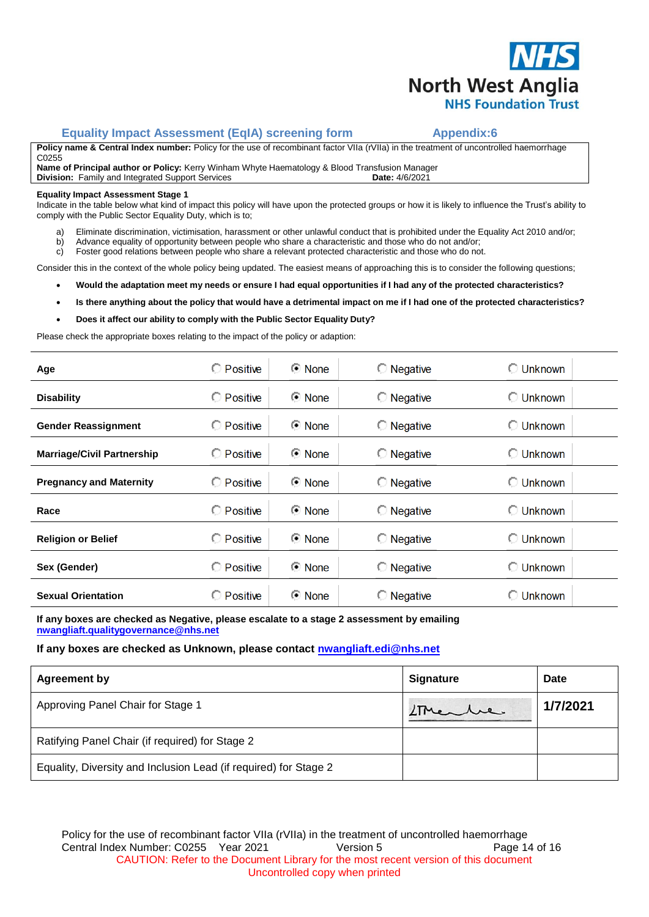

#### **Equality Impact Assessment (EqIA) screening form The Appendix:6**

**Policy name & Central Index number:** Policy for the use of recombinant factor VIIa (rVIIa) in the treatment of uncontrolled haemorrhage C0255

**Name of Principal author or Policy:** Kerry Winham Whyte Haematology & Blood Transfusion Manager **Division:** Family and Integrated Support Services **Date: 4/6/2021** 

#### **Equality Impact Assessment Stage 1**

Indicate in the table below what kind of impact this policy will have upon the protected groups or how it is likely to influence the Trust's ability to comply with the Public Sector Equality Duty, which is to;

- a) Eliminate discrimination, victimisation, harassment or other unlawful conduct that is prohibited under the Equality Act 2010 and/or;
- b) Advance equality of opportunity between people who share a characteristic and those who do not and/or;
- c) Foster good relations between people who share a relevant protected characteristic and those who do not.

Consider this in the context of the whole policy being updated. The easiest means of approaching this is to consider the following questions;

- **Would the adaptation meet my needs or ensure I had equal opportunities if I had any of the protected characteristics?**
- **Is there anything about the policy that would have a detrimental impact on me if I had one of the protected characteristics?**
- **Does it affect our ability to comply with the Public Sector Equality Duty?**

Please check the appropriate boxes relating to the impact of the policy or adaption:

| Age                               | <b>C</b> Positive | © None        | $\bigcirc$ Negative | <b>C</b> Unknown |
|-----------------------------------|-------------------|---------------|---------------------|------------------|
| <b>Disability</b>                 | C Positive        | <b>⊙</b> None | $\bigcirc$ Negative | <b>C</b> Unknown |
| <b>Gender Reassignment</b>        | C Positive        | <b>⊙</b> None | $\bigcirc$ Negative | <b>C</b> Unknown |
| <b>Marriage/Civil Partnership</b> | <b>C</b> Positive | <b>⊙</b> None | $\bigcirc$ Negative | <b>C</b> Unknown |
| <b>Pregnancy and Maternity</b>    | <b>O</b> Positive | <b>⊙</b> None | $\bigcirc$ Negative | ◯ Unknown        |
| Race                              | C Positive        | <b>⊙</b> None | $\bigcirc$ Negative | <b>C</b> Unknown |
| <b>Religion or Belief</b>         | C Positive        | <b>⊙</b> None | $\bigcirc$ Negative | <b>C</b> Unknown |
| Sex (Gender)                      | C Positive        | <b>⊙</b> None | $\bigcirc$ Negative | <b>C</b> Unknown |
| <b>Sexual Orientation</b>         | C Positive        | © None        | $\bigcirc$ Negative | <b>C</b> Unknown |
|                                   |                   |               |                     |                  |

**If any boxes are checked as Negative, please escalate to a stage 2 assessment by emailing [nwangliaft.qualitygovernance@nhs.net](mailto:nwangliaft.qualitygovernance@nhs.net?subject=EQIA%20Stage%202%20Required)**

#### **If any boxes are checked as Unknown, please contact [nwangliaft.edi@nhs.net](mailto:nwangliaft.edi@nhs.net?subject=EQIA%20Unknown%20Impact)**

| <b>Agreement by</b>                                              | <b>Signature</b> | <b>Date</b> |
|------------------------------------------------------------------|------------------|-------------|
| Approving Panel Chair for Stage 1                                | LTMenber         | 1/7/2021    |
| Ratifying Panel Chair (if required) for Stage 2                  |                  |             |
| Equality, Diversity and Inclusion Lead (if required) for Stage 2 |                  |             |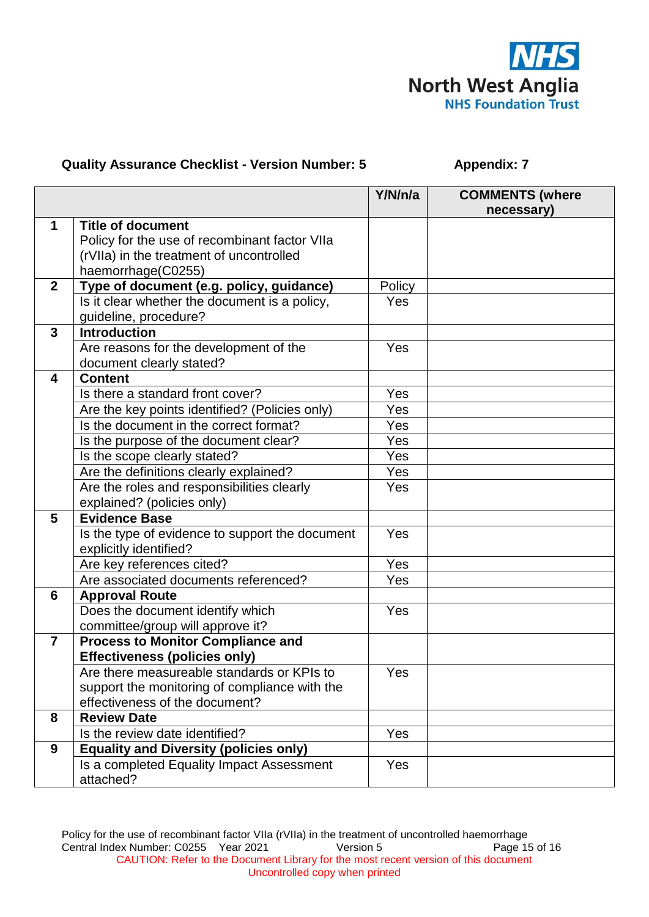

# **Quality Assurance Checklist - Version Number: 5 <br><b>Appendix: 7**

|                |                                                 | Y/N/n/a | <b>COMMENTS (where</b> |
|----------------|-------------------------------------------------|---------|------------------------|
|                |                                                 |         | necessary)             |
| $\mathbf 1$    | <b>Title of document</b>                        |         |                        |
|                | Policy for the use of recombinant factor VIIa   |         |                        |
|                | (rVIIa) in the treatment of uncontrolled        |         |                        |
|                | haemorrhage(C0255)                              |         |                        |
| $\mathbf{2}$   | Type of document (e.g. policy, guidance)        | Policy  |                        |
|                | Is it clear whether the document is a policy,   | Yes     |                        |
|                | guideline, procedure?                           |         |                        |
| 3              | <b>Introduction</b>                             |         |                        |
|                | Are reasons for the development of the          | Yes     |                        |
|                | document clearly stated?                        |         |                        |
| 4              | <b>Content</b>                                  |         |                        |
|                | Is there a standard front cover?                | Yes     |                        |
|                | Are the key points identified? (Policies only)  | Yes     |                        |
|                | Is the document in the correct format?          | Yes     |                        |
|                | Is the purpose of the document clear?           | Yes     |                        |
|                | Is the scope clearly stated?                    | Yes     |                        |
|                | Are the definitions clearly explained?          | Yes     |                        |
|                | Are the roles and responsibilities clearly      | Yes     |                        |
|                | explained? (policies only)                      |         |                        |
| 5              | <b>Evidence Base</b>                            |         |                        |
|                | Is the type of evidence to support the document | Yes     |                        |
|                | explicitly identified?                          |         |                        |
|                | Are key references cited?                       | Yes     |                        |
|                | Are associated documents referenced?            | Yes     |                        |
| 6              | <b>Approval Route</b>                           |         |                        |
|                | Does the document identify which                | Yes     |                        |
|                | committee/group will approve it?                |         |                        |
| $\overline{7}$ | <b>Process to Monitor Compliance and</b>        |         |                        |
|                | <b>Effectiveness (policies only)</b>            |         |                        |
|                | Are there measureable standards or KPIs to      | Yes     |                        |
|                | support the monitoring of compliance with the   |         |                        |
|                | effectiveness of the document?                  |         |                        |
| 8              | <b>Review Date</b>                              |         |                        |
|                | Is the review date identified?                  | Yes     |                        |
| 9              | <b>Equality and Diversity (policies only)</b>   |         |                        |
|                | Is a completed Equality Impact Assessment       | Yes     |                        |
|                | attached?                                       |         |                        |